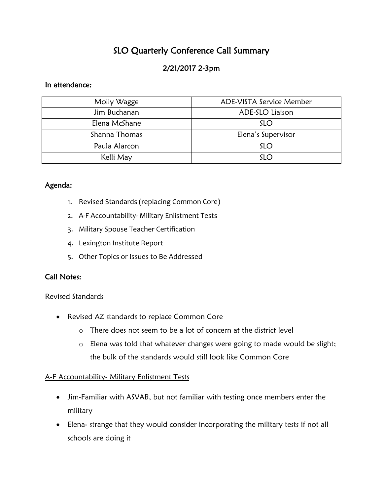# SLO Quarterly Conference Call Summary

# 2/21/2017 2-3pm

#### In attendance:

| Molly Wagge   | ADE-VISTA Service Member |
|---------------|--------------------------|
| Jim Buchanan  | ADE-SLO Liaison          |
| Elena McShane | <b>SLO</b>               |
| Shanna Thomas | Elena's Supervisor       |
| Paula Alarcon | <b>SLO</b>               |
| Kelli May     | <b>SLO</b>               |

## Agenda:

- 1. Revised Standards (replacing Common Core)
- 2. A-F Accountability- Military Enlistment Tests
- 3. Military Spouse Teacher Certification
- 4. Lexington Institute Report
- 5. Other Topics or Issues to Be Addressed

## Call Notes:

#### Revised Standards

- Revised AZ standards to replace Common Core
	- o There does not seem to be a lot of concern at the district level
	- o Elena was told that whatever changes were going to made would be slight; the bulk of the standards would still look like Common Core

## A-F Accountability- Military Enlistment Tests

- Jim-Familiar with ASVAB, but not familiar with testing once members enter the military
- Elena- strange that they would consider incorporating the military tests if not all schools are doing it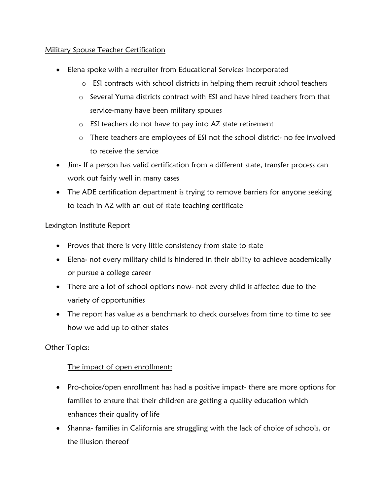## Military Spouse Teacher Certification

- Elena spoke with a recruiter from Educational Services Incorporated
	- o ESI contracts with school districts in helping them recruit school teachers
	- o Several Yuma districts contract with ESI and have hired teachers from that service-many have been military spouses
	- o ESI teachers do not have to pay into AZ state retirement
	- o These teachers are employees of ESI not the school district- no fee involved to receive the service
- Jim- If a person has valid certification from a different state, transfer process can work out fairly well in many cases
- The ADE certification department is trying to remove barriers for anyone seeking to teach in AZ with an out of state teaching certificate

## Lexington Institute Report

- Proves that there is very little consistency from state to state
- Elena- not every military child is hindered in their ability to achieve academically or pursue a college career
- There are a lot of school options now- not every child is affected due to the variety of opportunities
- The report has value as a benchmark to check ourselves from time to time to see how we add up to other states

# **Other Topics:**

# The impact of open enrollment:

- Pro-choice/open enrollment has had a positive impact- there are more options for families to ensure that their children are getting a quality education which enhances their quality of life
- Shanna- families in California are struggling with the lack of choice of schools, or the illusion thereof